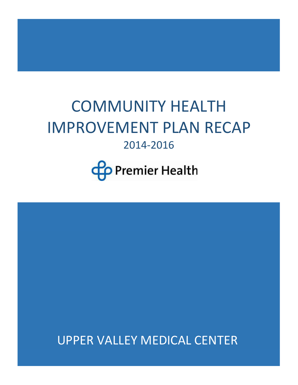# COMMUNITY HEALTH IMPROVEMENT PLAN RECAP 2014-2016

**Co** Premier Health

UPPER VALLEY MEDICAL CENTER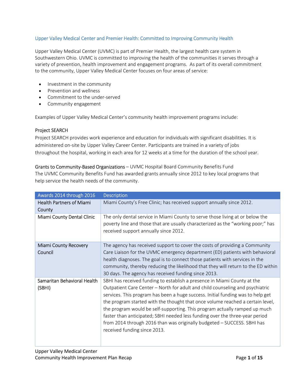# Upper Valley Medical Center and Premier Health: Committed to Improving Community Health

Upper Valley Medical Center (UVMC) is part of Premier Health, the largest health care system in Southwestern Ohio. UVMC is committed to improving the health of the communities it serves through a variety of prevention, health improvement and engagement programs. As part of its overall commitment to the community, Upper Valley Medical Center focuses on four areas of service:

- Investment in the community
- Prevention and wellness
- Commitment to the under-served
- Community engagement

Examples of Upper Valley Medical Center's community health improvement programs include:

# Project SEARCH

Project SEARCH provides work experience and education for individuals with significant disabilities. It is administered on-site by Upper Valley Career Center. Participants are trained in a variety of jobs throughout the hospital, working in each area for 12 weeks at a time for the duration of the school year.

Grants to Community-Based Organizations – UVMC Hospital Board Community Benefits Fund The UVMC Community Benefits Fund has awarded grants annually since 2012 to key local programs that help service the health needs of the community.

| Awards 2014 through 2016                  | <b>Description</b>                                                                                                                                                                                                                                                                                                                                                                                                                                                                                                                                                                                      |
|-------------------------------------------|---------------------------------------------------------------------------------------------------------------------------------------------------------------------------------------------------------------------------------------------------------------------------------------------------------------------------------------------------------------------------------------------------------------------------------------------------------------------------------------------------------------------------------------------------------------------------------------------------------|
| <b>Health Partners of Miami</b><br>County | Miami County's Free Clinic; has received support annually since 2012.                                                                                                                                                                                                                                                                                                                                                                                                                                                                                                                                   |
| Miami County Dental Clinic                | The only dental service in Miami County to serve those living at or below the<br>poverty line and those that are usually characterized as the "working poor;" has<br>received support annually since 2012.                                                                                                                                                                                                                                                                                                                                                                                              |
| <b>Miami County Recovery</b><br>Council   | The agency has received support to cover the costs of providing a Community<br>Care Liaison for the UVMC emergency department (ED) patients with behavioral<br>health diagnoses. The goal is to connect those patients with services in the<br>community, thereby reducing the likelihood that they will return to the ED within<br>30 days. The agency has received funding since 2013.                                                                                                                                                                                                                |
| Samaritan Behavioral Health<br>(SBHI)     | SBHI has received funding to establish a presence in Miami County at the<br>Outpatient Care Center - North for adult and child counseling and psychiatric<br>services. This program has been a huge success. Initial funding was to help get<br>the program started with the thought that once volume reached a certain level,<br>the program would be self-supporting. This program actually ramped up much<br>faster than anticipated; SBHI needed less funding over the three-year period<br>from 2014 through 2016 than was originally budgeted - SUCCESS. SBHI has<br>received funding since 2013. |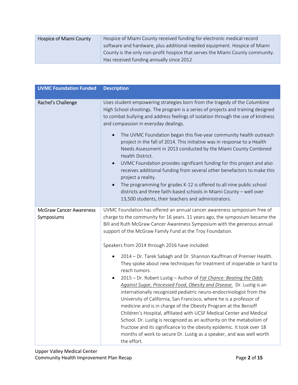| Hospice of Miami County | Hospice of Miami County received funding for electronic medical record        |  |
|-------------------------|-------------------------------------------------------------------------------|--|
|                         | software and hardware, plus additional needed equipment. Hospice of Miami     |  |
|                         | County is the only non-profit hospice that serves the Miami County community. |  |
|                         | Has received funding annually since 2012                                      |  |

| <b>UVMC Foundation Funded</b>                | <b>Description</b>                                                                                                                                                                                                                                                                                                                                                                                                                                                                                          |
|----------------------------------------------|-------------------------------------------------------------------------------------------------------------------------------------------------------------------------------------------------------------------------------------------------------------------------------------------------------------------------------------------------------------------------------------------------------------------------------------------------------------------------------------------------------------|
| Rachel's Challenge                           | Uses student empowering strategies born from the tragedy of the Columbine<br>High School shootings. The program is a series of projects and training designed<br>to combat bullying and address feelings of isolation through the use of kindness<br>and compassion in everyday dealings.                                                                                                                                                                                                                   |
|                                              | The UVMC Foundation began this five-year community health outreach<br>project in the fall of 2014. This initiative was in response to a Health<br>Needs Assessment in 2013 conducted by the Miami County Combined<br>Health District.                                                                                                                                                                                                                                                                       |
|                                              | UVMC Foundation provides significant funding for this project and also<br>$\bullet$<br>receives additional funding from several other benefactors to make this<br>project a reality.                                                                                                                                                                                                                                                                                                                        |
|                                              | The programming for grades K-12 is offered to all nine public school<br>districts and three faith-based schools in Miami County - well over<br>13,500 students, their teachers and administrators.                                                                                                                                                                                                                                                                                                          |
| <b>McGraw Cancer Awareness</b><br>Symposiums | UVMC Foundation has offered an annual cancer awareness symposium free of<br>charge to the community for 16 years. 11 years ago, the symposium became the<br>Bill and Ruth McGraw Cancer Awareness Symposium with the generous annual<br>support of the McGraw Family Fund at the Troy Foundation.                                                                                                                                                                                                           |
|                                              | Speakers from 2014 through 2016 have included:                                                                                                                                                                                                                                                                                                                                                                                                                                                              |
|                                              | 2014 - Dr. Tarek Sabagh and Dr. Shannon Kauffman of Premier Health.<br>٠<br>They spoke about new techniques for treatment of inoperable or hard to<br>reach tumors.                                                                                                                                                                                                                                                                                                                                         |
|                                              | 2015 - Dr. Robert Lustig - Author of Fat Chance: Beating the Odds<br>Against Sugar, Processed Food, Obesity and Disease. Dr. Lustig is an<br>internationally recognized pediatric neuro-endocrinologist from the<br>University of California, San Francisco, where he is a professor of<br>medicine and is in charge of the Obesity Program at the Benioff<br>Children's Hospital, affiliated with UCSF Medical Center and Medical<br>School. Dr. Lustig is recognized as an authority on the metabolism of |
|                                              | fructose and its significance to the obesity epidemic. It took over 18<br>months of work to secure Dr. Lustig as a speaker, and was well worth<br>the effort.                                                                                                                                                                                                                                                                                                                                               |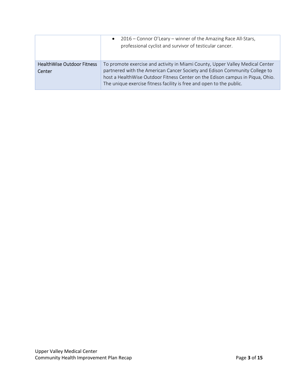|                                             | 2016 – Connor O'Leary – winner of the Amazing Race All-Stars,<br>$\bullet$<br>professional cyclist and survivor of testicular cancer.                       |
|---------------------------------------------|-------------------------------------------------------------------------------------------------------------------------------------------------------------|
| <b>HealthWise Outdoor Fitness</b><br>Center | To promote exercise and activity in Miami County, Upper Valley Medical Center<br>partnered with the American Cancer Society and Edison Community College to |
|                                             | host a HealthWise Outdoor Fitness Center on the Edison campus in Piqua, Ohio.<br>The unique exercise fitness facility is free and open to the public.       |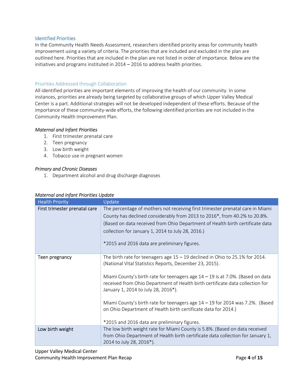# Identified Priorities

In the Community Health Needs Assessment, researchers identified priority areas for community health improvement using a variety of criteria. The priorities that are included and excluded in the plan are outlined here. Priorities that are included in the plan are not listed in order of importance. Below are the initiatives and programs instituted in 2014 – 2016 to address health priorities.

# Priorities Addressed through Collaboration

All identified priorities are important elements of improving the health of our community. In some instances, priorities are already being targeted by collaborative groups of which Upper Valley Medical Center is a part. Additional strategies will not be developed independent of these efforts. Because of the importance of these community-wide efforts, the following identified priorities are not included in the Community Health Improvement Plan.

## Maternal and Infant Priorities

- 1. First trimester prenatal care
- 2. Teen pregnancy
- 3. Low birth weight
- 4. Tobacco use in pregnant women

## Primary and Chronic Diseases

1. Department alcohol and drug discharge diagnoses

| <b>Health Priority</b>        | Update                                                                                                                                                                                                                                                                                                                                                                                                                                                                                                                                                 |
|-------------------------------|--------------------------------------------------------------------------------------------------------------------------------------------------------------------------------------------------------------------------------------------------------------------------------------------------------------------------------------------------------------------------------------------------------------------------------------------------------------------------------------------------------------------------------------------------------|
| First trimester prenatal care | The percentage of mothers not receiving first trimester prenatal care in Miami<br>County has declined considerably from 2013 to 2016*, from 40.2% to 20.8%.<br>(Based on data received from Ohio Department of Health birth certificate data<br>collection for January 1, 2014 to July 28, 2016.)<br>*2015 and 2016 data are preliminary figures.                                                                                                                                                                                                      |
| Teen pregnancy                | The birth rate for teenagers age $15 - 19$ declined in Ohio to 25.1% for 2014.<br>(National Vital Statistics Reports, December 23, 2015).<br>Miami County's birth rate for teenagers age 14 - 19 is at 7.0%. (Based on data<br>received from Ohio Department of Health birth certificate data collection for<br>January 1, 2014 to July 28, 2016*).<br>Miami County's birth rate for teenagers age 14 - 19 for 2014 was 7.2%. (Based<br>on Ohio Department of Health birth certificate data for 2014.)<br>*2015 and 2016 data are preliminary figures. |
| Low birth weight              | The low birth weight rate for Miami County is 5.8%. (Based on data received<br>from Ohio Department of Health birth certificate data collection for January 1,<br>2014 to July 28, 2016*).                                                                                                                                                                                                                                                                                                                                                             |

# Maternal and Infant Priorities Update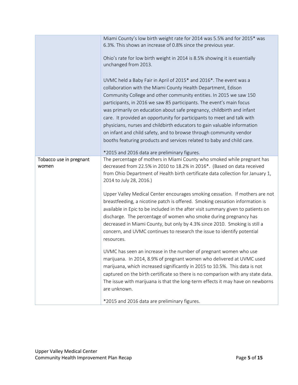|                                  | Miami County's low birth weight rate for 2014 was 5.5% and for 2015* was<br>6.3%. This shows an increase of 0.8% since the previous year.                                                                                                                                                                                                                                                                                                                                                                                                                                                                                                                                                                          |
|----------------------------------|--------------------------------------------------------------------------------------------------------------------------------------------------------------------------------------------------------------------------------------------------------------------------------------------------------------------------------------------------------------------------------------------------------------------------------------------------------------------------------------------------------------------------------------------------------------------------------------------------------------------------------------------------------------------------------------------------------------------|
|                                  | Ohio's rate for low birth weight in 2014 is 8.5% showing it is essentially<br>unchanged from 2013.                                                                                                                                                                                                                                                                                                                                                                                                                                                                                                                                                                                                                 |
|                                  | UVMC held a Baby Fair in April of 2015* and 2016*. The event was a<br>collaboration with the Miami County Health Department, Edison<br>Community College and other community entities. In 2015 we saw 150<br>participants, in 2016 we saw 85 participants. The event's main focus<br>was primarily on education about safe pregnancy, childbirth and infant<br>care. It provided an opportunity for participants to meet and talk with<br>physicians, nurses and childbirth educators to gain valuable information<br>on infant and child safety, and to browse through community vendor<br>booths featuring products and services related to baby and child care.<br>*2015 and 2016 data are preliminary figures. |
| Tobacco use in pregnant<br>women | The percentage of mothers in Miami County who smoked while pregnant has<br>decreased from 22.5% in 2010 to 18.2% in 2016*. (Based on data received<br>from Ohio Department of Health birth certificate data collection for January 1,<br>2014 to July 28, 2016.)                                                                                                                                                                                                                                                                                                                                                                                                                                                   |
|                                  | Upper Valley Medical Center encourages smoking cessation. If mothers are not<br>breastfeeding, a nicotine patch is offered. Smoking cessation information is<br>available in Epic to be included in the after visit summary given to patients on<br>discharge. The percentage of women who smoke during pregnancy has<br>decreased in Miami County, but only by 4.3% since 2010. Smoking is still a<br>concern, and UVMC continues to research the issue to identify potential<br>resources.                                                                                                                                                                                                                       |
|                                  | UVMC has seen an increase in the number of pregnant women who use<br>marijuana. In 2014, 8.9% of pregnant women who delivered at UVMC used<br>marijuana, which increased significantly in 2015 to 10.5%. This data is not<br>captured on the birth certificate so there is no comparison with any state data.<br>The issue with marijuana is that the long-term effects it may have on newborns<br>are unknown.                                                                                                                                                                                                                                                                                                    |
|                                  | *2015 and 2016 data are preliminary figures.                                                                                                                                                                                                                                                                                                                                                                                                                                                                                                                                                                                                                                                                       |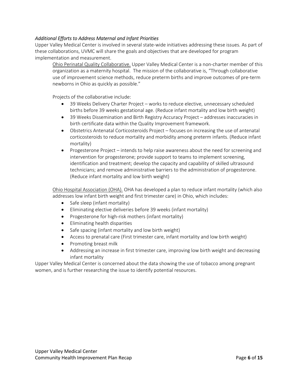# Additional Efforts to Address Maternal and Infant Priorities

Upper Valley Medical Center is involved in several state-wide initiatives addressing these issues. As part of these collaborations, UVMC will share the goals and objectives that are developed for program implementation and measurement.

Ohio Perinatal Quality Collaborative. Upper Valley Medical Center is a non-charter member of this organization as a maternity hospital. The mission of the collaborative is, "Through collaborative use of improvement science methods, reduce preterm births and improve outcomes of pre-term newborns in Ohio as quickly as possible."

Projects of the collaborative include:

- 39 Weeks Delivery Charter Project works to reduce elective, unnecessary scheduled births before 39 weeks gestational age. (Reduce infant mortality and low birth weight)
- 39 Weeks Dissemination and Birth Registry Accuracy Project addresses inaccuracies in birth certificate data within the Quality Improvement framework.
- Obstetrics Antenatal Corticosteroids Project focuses on increasing the use of antenatal corticosteroids to reduce mortality and morbidity among preterm infants. (Reduce infant mortality)
- Progesterone Project intends to help raise awareness about the need for screening and intervention for progesterone; provide support to teams to implement screening, identification and treatment; develop the capacity and capability of skilled ultrasound technicians; and remove administrative barriers to the administration of progesterone. (Reduce infant mortality and low birth weight)

Ohio Hospital Association (OHA). OHA has developed a plan to reduce infant mortality (which also addresses low infant birth weight and first trimester care) in Ohio, which includes:

- Safe sleep (infant mortality)
- Eliminating elective deliveries before 39 weeks (infant mortality)
- Progesterone for high-risk mothers (infant mortality)
- Eliminating health disparities
- Safe spacing (infant mortality and low birth weight)
- Access to prenatal care (First trimester care, infant mortality and low birth weight)
- Promoting breast milk
- Addressing an increase in first trimester care, improving low birth weight and decreasing infant mortality

Upper Valley Medical Center is concerned about the data showing the use of tobacco among pregnant women, and is further researching the issue to identify potential resources.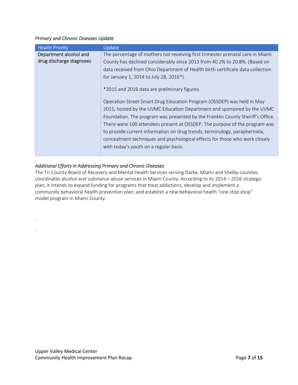# Primary and Chronic Diseases Update

| <b>Health Priority</b>   | Update                                                                         |
|--------------------------|--------------------------------------------------------------------------------|
| Department alcohol and   | The percentage of mothers not receiving first trimester prenatal care in Miami |
| drug discharge diagnoses | County has declined considerably since 2013 from 40.2% to 20.8%. (Based on     |
|                          | data received from Ohio Department of Health birth certificate data collection |
|                          | for January 1, 2014 to July 28, 2016*).                                        |
|                          | *2015 and 2016 data are preliminary figures.                                   |
|                          | Operation Street Smart Drug Education Program (OSSDEP) was held in May         |
|                          | 2015, hosted by the UVMC Education Department and sponsored by the UVMC        |
|                          | Foundation. The program was presented by the Franklin County Sheriff's Office. |
|                          | There were 100 attendees present at OSSDEP. The purpose of the program was     |
|                          | to provide current information on drug trends, terminology, paraphernalia,     |
|                          | concealment techniques and psychological effects for those who work closely    |
|                          | with today's youth on a regular basis.                                         |
|                          |                                                                                |

# Additional Efforts in Addressing Primary and Chronic Diseases

.

.

The Tri-County Board of Recovery and Mental Health Services serving Darke, Miami and Shelby counties coordinates alcohol and substance abuse services in Miami County. According to its 2014 – 2016 strategic plan, it intends to expand funding for programs that treat addictions; develop and implement a community behavioral health prevention plan; and establish a new behavioral health "one stop shop" model program in Miami County.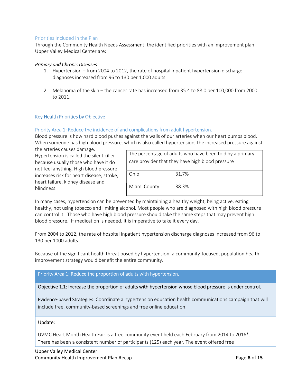# Priorities Included in the Plan

Through the Community Health Needs Assessment, the identified priorities with an improvement plan Upper Valley Medical Center are:

#### Primary and Chronic Diseases

- 1. Hypertension from 2004 to 2012, the rate of hospital inpatient hypertension discharge diagnoses increased from 96 to 130 per 1,000 adults.
- 2. Melanoma of the skin the cancer rate has increased from 35.4 to 88.0 per 100,000 from 2000 to 2011.

## Key Health Priorities by Objective

# Priority Area 1: Reduce the incidence of and complications from adult hypertension.

Blood pressure is how hard blood pushes against the walls of our arteries when our heart pumps blood. When someone has high blood pressure, which is also called hypertension, the increased pressure against

the arteries causes damage. Hypertension is called the silent killer because usually those who have it do not feel anything. High blood pressure increases risk for heart disease, stroke, heart failure, kidney disease and blindness.

| The percentage of adults who have been told by a primary<br>care provider that they have high blood pressure |       |  |
|--------------------------------------------------------------------------------------------------------------|-------|--|
|                                                                                                              |       |  |
| Ohio                                                                                                         | 31.7% |  |
| Miami County                                                                                                 | 38.3% |  |

In many cases, hypertension can be prevented by maintaining a healthy weight, being active, eating healthy, not using tobacco and limiting alcohol. Most people who are diagnosed with high blood pressure can control it. Those who have high blood pressure should take the same steps that may prevent high blood pressure. If medication is needed, it is imperative to take it every day.

From 2004 to 2012, the rate of hospital inpatient hypertension discharge diagnoses increased from 96 to 130 per 1000 adults.

Because of the significant health threat posed by hypertension, a community-focused, population health improvement strategy would benefit the entire community.

# Priority Area 1: Reduce the proportion of adults with hypertension.

# Objective 1.1: Increase the proportion of adults with hypertension whose blood pressure is under control.

Evidence-based Strategies: Coordinate a hypertension education health communications campaign that will include free, community-based screenings and free online education.

#### Update:

UVMC Heart Month Health Fair is a free community event held each February from 2014 to 2016\*. There has been a consistent number of participants (125) each year. The event offered free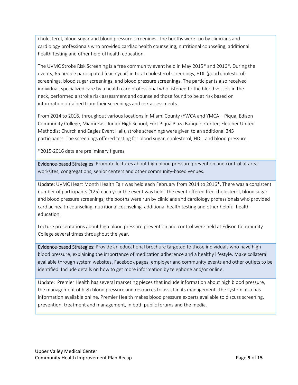cholesterol, blood sugar and blood pressure screenings. The booths were run by clinicians and cardiology professionals who provided cardiac health counseling, nutritional counseling, additional health testing and other helpful health education.

The UVMC Stroke Risk Screening is a free community event held in May 2015\* and 2016\*. During the events, 65 people participated [each year] in total cholesterol screenings, HDL (good cholesterol) screenings, blood sugar screenings, and blood pressure screenings. The participants also received individual, specialized care by a health care professional who listened to the blood vessels in the neck, performed a stroke risk assessment and counseled those found to be at risk based on information obtained from their screenings and risk assessments.

From 2014 to 2016, throughout various locations in Miami County (YWCA and YMCA – Piqua, Edison Community College, Miami East Junior High School, Fort Piqua Plaza Banquet Center, Fletcher United Methodist Church and Eagles Event Hall), stroke screenings were given to an additional 345 participants. The screenings offered testing for blood sugar, cholesterol, HDL, and blood pressure.

\*2015-2016 data are preliminary figures.

Evidence-based Strategies: Promote lectures about high blood pressure prevention and control at area worksites, congregations, senior centers and other community-based venues.

Update: UVMC Heart Month Health Fair was held each February from 2014 to 2016\*. There was a consistent number of participants (125) each year the event was held. The event offered free cholesterol, blood sugar and blood pressure screenings; the booths were run by clinicians and cardiology professionals who provided cardiac health counseling, nutritional counseling, additional health testing and other helpful health education.

Lecture presentations about high blood pressure prevention and control were held at Edison Community College several times throughout the year.

Evidence-based Strategies: Provide an educational brochure targeted to those individuals who have high blood pressure, explaining the importance of medication adherence and a healthy lifestyle. Make collateral available through system websites, Facebook pages, employer and community events and other outlets to be identified. Include details on how to get more information by telephone and/or online.

Update: Premier Health has several marketing pieces that include information about high blood pressure, the management of high blood pressure and resources to assist in its management. The system also has information available online. Premier Health makes blood pressure experts available to discuss screening, prevention, treatment and management, in both public forums and the media.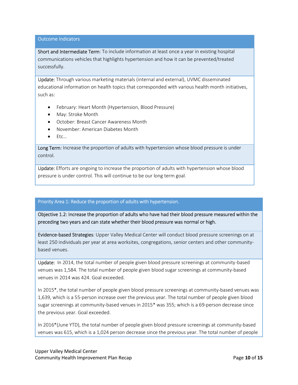Outcome Indicators

Short and Intermediate Term: To include information at least once a year in existing hospital communications vehicles that highlights hypertension and how it can be prevented/treated successfully.

Update: Through various marketing materials (internal and external), UVMC disseminated educational information on health topics that corresponded with various health month initiatives, such as:

- February: Heart Month (Hypertension, Blood Pressure)
- May: Stroke Month
- October: Breast Cancer Awareness Month
- November: American Diabetes Month
- $\bullet$  Ftc...

Long Term: Increase the proportion of adults with hypertension whose blood pressure is under control.

Update: Efforts are ongoing to increase the proportion of adults with hypertension whose blood pressure is under control. This will continue to be our long term goal.

#### Priority Area 1: Reduce the proportion of adults with hypertension.

Objective 1.2: Increase the proportion of adults who have had their blood pressure measured within the preceding two years and can state whether their blood pressure was normal or high.

Evidence-based Strategies: Upper Valley Medical Center will conduct blood pressure screenings on at least 250 individuals per year at area worksites, congregations, senior centers and other communitybased venues.

Update: In 2014, the total number of people given blood pressure screenings at community-based venues was 1,584. The total number of people given blood sugar screenings at community-based venues in 2014 was 424. Goal exceeded.

In 2015\*, the total number of people given blood pressure screenings at community-based venues was 1,639, which is a 55-person increase over the previous year. The total number of people given blood sugar screenings at community-based venues in 2015\* was 355; which is a 69-person decrease since the previous year. Goal exceeded.

In 2016\*(June YTD), the total number of people given blood pressure screenings at community-based venues was 615, which is a 1,024 person decrease since the previous year. The total number of people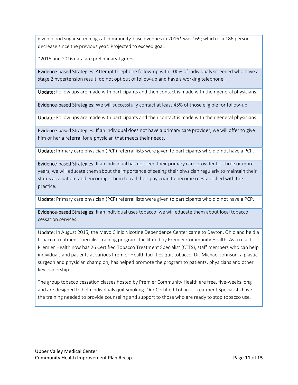given blood sugar screenings at community-based venues in 2016\* was 169; which is a 186 person decrease since the previous year. Projected to exceed goal.

\*2015 and 2016 data are preliminary figures.

Evidence-based Strategies: Attempt telephone follow-up with 100% of individuals screened who have a stage 2 hypertension result, do not opt out of follow-up and have a working telephone.

Update: Follow ups are made with participants and then contact is made with their general physicians.

Evidence-based Strategies: We will successfully contact at least 45% of those eligible for follow-up.

Update: Follow ups are made with participants and then contact is made with their general physicians.

Evidence-based Strategies: If an individual does not have a primary care provider, we will offer to give him or her a referral for a physician that meets their needs.

Update: Primary care physician (PCP) referral lists were given to participants who did not have a PCP.

Evidence-based Strategies: If an individual has not seen their primary care provider for three or more years, we will educate them about the importance of seeing their physician regularly to maintain their status as a patient and encourage them to call their physician to become reestablished with the practice.

Update: Primary care physician (PCP) referral lists were given to participants who did not have a PCP.

Evidence-based Strategies: If an individual uses tobacco, we will educate them about local tobacco cessation services.

Update: In August 2015, the Mayo Clinic Nicotine Dependence Center came to Dayton, Ohio and held a tobacco treatment specialist training program, facilitated by Premier Community Health. As a result, Premier Health now has 26 Certified Tobacco Treatment Specialist (CTTS), staff members who can help individuals and patients at various Premier Health facilities quit tobacco. Dr. Michael Johnson, a plastic surgeon and physician champion, has helped promote the program to patients, physicians and other key leadership.

The group tobacco cessation classes hosted by Premier Community Health are free, five-weeks long and are designed to help individuals quit smoking. Our Certified Tobacco Treatment Specialists have the training needed to provide counseling and support to those who are ready to stop tobacco use.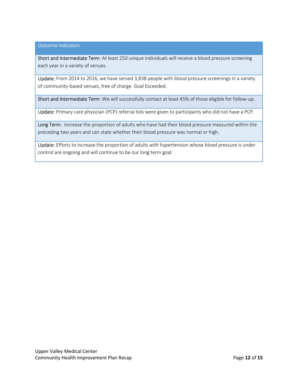# Outcome Indicators

Short and Intermediate Term: At least 250 unique individuals will receive a blood pressure screening each year in a variety of venues.

Update: From 2014 to 2016, we have served 3,838 people with blood pressure screenings in a variety of community-based venues, free of charge. Goal Exceeded.

Short and Intermediate Term: We will successfully contact at least 45% of those eligible for follow-up.

Update: Primary care physician (PCP) referral lists were given to participants who did not have a PCP.

Long Term: Increase the proportion of adults who have had their blood pressure measured within the preceding two years and can state whether their blood pressure was normal or high.

Update: Efforts to increase the proportion of adults with hypertension whose blood pressure is under control are ongoing and will continue to be our long term goal.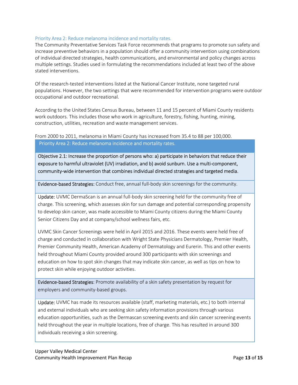# Priority Area 2: Reduce melanoma incidence and mortality rates.

The Community Preventative Services Task Force recommends that programs to promote sun safety and increase preventive behaviors in a population should offer a community intervention using combinations of individual directed strategies, health communications, and environmental and policy changes across multiple settings. Studies used in formulating the recommendations included at least two of the above stated interventions.

Of the research-tested interventions listed at the National Cancer Institute, none targeted rural populations. However, the two settings that were recommended for intervention programs were outdoor occupational and outdoor recreational.

According to the United States Census Bureau, between 11 and 15 percent of Miami County residents work outdoors. This includes those who work in agriculture, forestry, fishing, hunting, mining, construction, utilities, recreation and waste management services.

From 2000 to 2011, melanoma in Miami County has increased from 35.4 to 88 per 100,000. Priority Area 2: Reduce melanoma incidence and mortality rates.

Objective 2.1: Increase the proportion of persons who: a) participate in behaviors that reduce their exposure to harmful ultraviolet (UV) irradiation, and b) avoid sunburn. Use a multi-component, community-wide intervention that combines individual directed strategies and targeted media.

Evidence-based Strategies: Conduct free, annual full-body skin screenings for the community.

Update: UVMC DermaScan is an annual full-body skin screening held for the community free of charge. This screening, which assesses skin for sun damage and potential corresponding propensity to develop skin cancer, was made accessible to Miami County citizens during the Miami County Senior Citizens Day and at company/school wellness fairs, etc.

UVMC Skin Cancer Screenings were held in April 2015 and 2016. These events were held free of charge and conducted in collaboration with Wright State Physicians Dermatology, Premier Health, Premier Community Health, American Academy of Dermatology and Eurerin. This and other events held throughout Miami County provided around 300 participants with skin screenings and education on how to spot skin changes that may indicate skin cancer, as well as tips on how to protect skin while enjoying outdoor activities.

Evidence-based Strategies: Promote availability of a skin safety presentation by request for employers and community-based groups.

Update: UVMC has made its resources available (staff, marketing materials, etc.) to both internal and external individuals who are seeking skin safety information provisions through various education opportunities, such as the Dermascan screening events and skin cancer screening events held throughout the year in multiple locations, free of charge. This has resulted in around 300 individuals receiving a skin screening.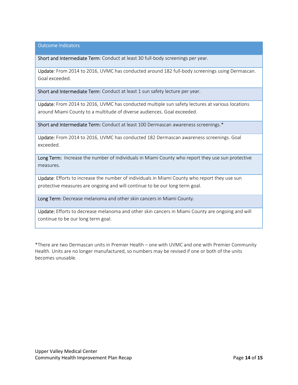Outcome Indicators

Short and Intermediate Term: Conduct at least 30 full-body screenings per year.

Update: From 2014 to 2016, UVMC has conducted around 182 full-body screenings using Dermascan. Goal exceeded.

Short and Intermediate Term: Conduct at least 1 sun safety lecture per year.

Update: From 2014 to 2016, UVMC has conducted multiple sun safety lectures at various locations around Miami County to a multitude of diverse audiences. Goal exceeded.

Short and Intermediate Term: Conduct at least 100 Dermascan awareness screenings.\*

Update: From 2014 to 2016, UVMC has conducted 182 Dermascan awareness screenings. Goal exceeded.

Long Term: Increase the number of individuals in Miami County who report they use sun protective measures.

Update: Efforts to increase the number of individuals in Miami County who report they use sun protective measures are ongoing and will continue to be our long term goal.

Long Term: Decrease melanoma and other skin cancers in Miami County.

Update: Efforts to decrease melanoma and other skin cancers in Miami County are ongoing and will continue to be our long term goal.

\*There are two Dermascan units in Premier Health – one with UVMC and one with Premier Community Health. Units are no longer manufactured, so numbers may be revised if one or both of the units becomes unusable.